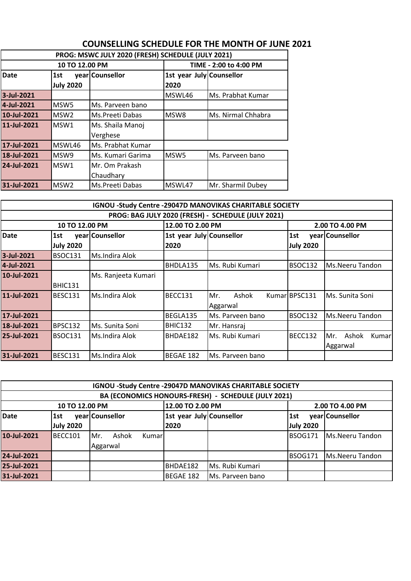|             | PROG: MSWC JULY 2020 (FRESH) SCHEDULE (JULY 2021) |                   |                          |                    |  |  |  |  |
|-------------|---------------------------------------------------|-------------------|--------------------------|--------------------|--|--|--|--|
|             | 10 TO 12.00 PM                                    |                   | TIME - 2:00 to 4:00 PM   |                    |  |  |  |  |
| Date        | 1st                                               | year Counsellor   | 1st year July Counsellor |                    |  |  |  |  |
|             | <b>July 2020</b>                                  |                   | 2020                     |                    |  |  |  |  |
| 3-Jul-2021  |                                                   |                   | MSWL46                   | Ms. Prabhat Kumar  |  |  |  |  |
| 4-Jul-2021  | MSW <sub>5</sub>                                  | Ms. Parveen bano  |                          |                    |  |  |  |  |
| 10-Jul-2021 | MSW <sub>2</sub>                                  | Ms.Preeti Dabas   |                          | Ms. Nirmal Chhabra |  |  |  |  |
| 11-Jul-2021 | MSW1                                              | Ms. Shaila Manoj  |                          |                    |  |  |  |  |
|             |                                                   | Verghese          |                          |                    |  |  |  |  |
| 17-Jul-2021 | MSWL46                                            | Ms. Prabhat Kumar |                          |                    |  |  |  |  |
| 18-Jul-2021 | MSW9                                              | Ms. Kumari Garima | MSW <sub>5</sub>         | Ms. Parveen bano   |  |  |  |  |
| 24-Jul-2021 | MSW1                                              | Mr. Om Prakash    |                          |                    |  |  |  |  |
|             |                                                   | Chaudhary         |                          |                    |  |  |  |  |
| 31-Jul-2021 | MSW <sub>2</sub>                                  | Ms.Preeti Dabas   | MSWL47                   | Mr. Sharmil Dubey  |  |  |  |  |

## **COUNSELLING SCHEDULE FOR THE MONTH OF JUNE 2021**

| IGNOU -Study Centre -29047D MANOVIKAS CHARITABLE SOCIETY |                  |                     |                          |                  |                  |                        |  |
|----------------------------------------------------------|------------------|---------------------|--------------------------|------------------|------------------|------------------------|--|
| PROG: BAG JULY 2020 (FRESH) - SCHEDULE (JULY 2021)       |                  |                     |                          |                  |                  |                        |  |
|                                                          | 10 TO 12.00 PM   |                     | 12.00 TO 2.00 PM         |                  |                  | 2.00 TO 4.00 PM        |  |
| <b>Date</b>                                              | 1st              | year Counsellor     | 1st year July Counsellor |                  | 1st              | year Counsellor        |  |
|                                                          | <b>July 2020</b> |                     | 2020                     |                  | <b>July 2020</b> |                        |  |
| 3-Jul-2021                                               | <b>BSOC131</b>   | Ms.Indira Alok      |                          |                  |                  |                        |  |
| 4-Jul-2021                                               |                  |                     | BHDLA135                 | Ms. Rubi Kumari  | <b>BSOC132</b>   | Ms.Neeru Tandon        |  |
| 10-Jul-2021                                              |                  | Ms. Ranjeeta Kumari |                          |                  |                  |                        |  |
|                                                          | <b>BHIC131</b>   |                     |                          |                  |                  |                        |  |
| 11-Jul-2021                                              | <b>BESC131</b>   | Ms.Indira Alok      | BECC131                  | Ashok<br>Mr.     | KumarlBPSC131    | Ms. Sunita Soni        |  |
|                                                          |                  |                     |                          | Aggarwal         |                  |                        |  |
| 17-Jul-2021                                              |                  |                     | BEGLA135                 | Ms. Parveen bano | <b>BSOC132</b>   | <b>Ms.Neeru Tandon</b> |  |
| 18-Jul-2021                                              | <b>BPSC132</b>   | Ms. Sunita Soni     | BHIC132                  | Mr. Hansraj      |                  |                        |  |
| 25-Jul-2021                                              | <b>BSOC131</b>   | IMs.Indira Alok     | BHDAE182                 | Ms. Rubi Kumari  | BECC132          | Ashok<br>Mr.<br>Kumarl |  |
|                                                          |                  |                     |                          |                  |                  | Aggarwal               |  |
| 31-Jul-2021                                              | <b>BESC131</b>   | Ms.Indira Alok      | BEGAE 182                | Ms. Parveen bano |                  |                        |  |

| IGNOU - Study Centre - 29047D MANOVIKAS CHARITABLE SOCIETY |                  |                         |                          |                                                     |                  |                 |
|------------------------------------------------------------|------------------|-------------------------|--------------------------|-----------------------------------------------------|------------------|-----------------|
|                                                            |                  |                         |                          | BA (ECONOMICS HONOURS-FRESH) - SCHEDULE (JULY 2021) |                  |                 |
|                                                            | 10 TO 12.00 PM   |                         | 12.00 TO 2.00 PM         |                                                     |                  | 2.00 TO 4.00 PM |
| <b>Date</b>                                                | 1st              | year Counsellor         | 1st year July Counsellor |                                                     | 1st              | year Counsellor |
|                                                            | <b>July 2020</b> |                         | 2020                     |                                                     | <b>July 2020</b> |                 |
| 10-Jul-2021                                                | BECC101          | Ashok<br>IMr.<br>Kumarl |                          |                                                     | <b>BSOG171</b>   | Ms.Neeru Tandon |
|                                                            |                  | Aggarwal                |                          |                                                     |                  |                 |
| 24-Jul-2021                                                |                  |                         |                          |                                                     | <b>BSOG171</b>   | Ms.Neeru Tandon |
| 25-Jul-2021                                                |                  |                         | BHDAE182                 | Ms. Rubi Kumari                                     |                  |                 |
| 31-Jul-2021                                                |                  |                         | BEGAE 182                | Ms. Parveen bano                                    |                  |                 |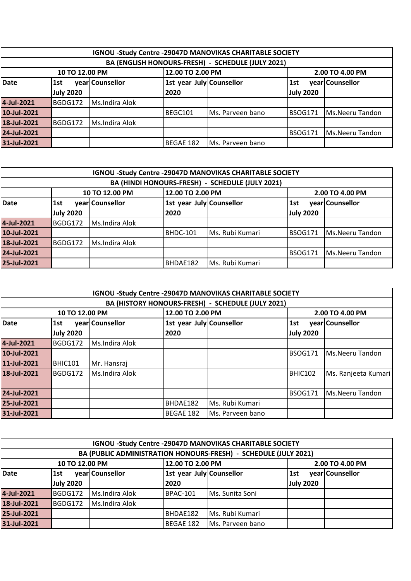| IGNOU -Study Centre -29047D MANOVIKAS CHARITABLE SOCIETY |                                                       |                 |                          |                  |                  |                 |  |
|----------------------------------------------------------|-------------------------------------------------------|-----------------|--------------------------|------------------|------------------|-----------------|--|
| BA (ENGLISH HONOURS-FRESH) - SCHEDULE (JULY 2021)        |                                                       |                 |                          |                  |                  |                 |  |
|                                                          | 12.00 TO 2.00 PM<br>2.00 TO 4.00 PM<br>10 TO 12.00 PM |                 |                          |                  |                  |                 |  |
| <b>Date</b>                                              | 1st                                                   | year Counsellor | 1st year July Counsellor |                  | <b>1st</b>       | year Counsellor |  |
|                                                          | <b>July 2020</b>                                      |                 | 2020                     |                  | <b>July 2020</b> |                 |  |
| 4-Jul-2021                                               | BGDG172                                               | Ms.Indira Alok  |                          |                  |                  |                 |  |
| 10-Jul-2021                                              |                                                       |                 | BEGC101                  | Ms. Parveen bano | <b>BSOG171</b>   | Ms.Neeru Tandon |  |
| 18-Jul-2021                                              | BGDG172                                               | Ms.Indira Alok  |                          |                  |                  |                 |  |
| 24-Jul-2021                                              | <b>BSOG171</b><br>Ms.Neeru Tandon                     |                 |                          |                  |                  |                 |  |
| 31-Jul-2021                                              |                                                       |                 | <b>BEGAE 182</b>         | Ms. Parveen bano |                  |                 |  |

|                                                 | IGNOU -Study Centre -29047D MANOVIKAS CHARITABLE SOCIETY |                 |                          |                 |                  |                 |  |  |
|-------------------------------------------------|----------------------------------------------------------|-----------------|--------------------------|-----------------|------------------|-----------------|--|--|
| BA (HINDI HONOURS-FRESH) - SCHEDULE (JULY 2021) |                                                          |                 |                          |                 |                  |                 |  |  |
|                                                 | 12.00 TO 2.00 PM<br>10 TO 12.00 PM<br>2.00 TO 4.00 PM    |                 |                          |                 |                  |                 |  |  |
| <b>Date</b>                                     | 1st                                                      | year Counsellor | 1st year July Counsellor |                 | 1st              | year Counsellor |  |  |
|                                                 | <b>July 2020</b>                                         |                 | 2020                     |                 | <b>July 2020</b> |                 |  |  |
| 4-Jul-2021                                      | BGDG172                                                  | Ms.Indira Alok  |                          |                 |                  |                 |  |  |
| 10-Jul-2021                                     |                                                          |                 | <b>BHDC-101</b>          | Ms. Rubi Kumari | <b>BSOG171</b>   | Ms.Neeru Tandon |  |  |
| 18-Jul-2021                                     | BGDG172                                                  | Ms.Indira Alok  |                          |                 |                  |                 |  |  |
| 24-Jul-2021                                     | Ms.Neeru Tandon<br><b>BSOG171</b>                        |                 |                          |                 |                  |                 |  |  |
| 25-Jul-2021                                     |                                                          |                 | BHDAE182                 | Ms. Rubi Kumari |                  |                 |  |  |

|             | IGNOU - Study Centre - 29047D MANOVIKAS CHARITABLE SOCIETY |                  |                 |                  |                  |                        |  |  |
|-------------|------------------------------------------------------------|------------------|-----------------|------------------|------------------|------------------------|--|--|
|             | BA (HISTORY HONOURS-FRESH) - SCHEDULE (JULY 2021)          |                  |                 |                  |                  |                        |  |  |
|             | 10 TO 12.00 PM                                             | 12.00 TO 2.00 PM | 2.00 TO 4.00 PM |                  |                  |                        |  |  |
| <b>Date</b> | 1st year July Counsellor<br>year Counsellor<br>1st         |                  |                 | 1st              | year Counsellor  |                        |  |  |
|             | <b>July 2020</b>                                           |                  | 2020            |                  | <b>July 2020</b> |                        |  |  |
| 4-Jul-2021  | BGDG172                                                    | Ms.Indira Alok   |                 |                  |                  |                        |  |  |
| 10-Jul-2021 |                                                            |                  |                 |                  | <b>BSOG171</b>   | Ms.Neeru Tandon        |  |  |
| 11-Jul-2021 | <b>BHIC101</b>                                             | Mr. Hansraj      |                 |                  |                  |                        |  |  |
| 18-Jul-2021 | BGDG172                                                    | Ms.Indira Alok   |                 |                  | BHIC102          | Ms. Ranjeeta Kumari    |  |  |
|             |                                                            |                  |                 |                  |                  |                        |  |  |
| 24-Jul-2021 |                                                            |                  |                 |                  | <b>BSOG171</b>   | <b>Ms.Neeru Tandon</b> |  |  |
| 25-Jul-2021 |                                                            |                  | BHDAE182        | Ms. Rubi Kumari  |                  |                        |  |  |
| 31-Jul-2021 |                                                            |                  | BEGAE 182       | Ms. Parveen bano |                  |                        |  |  |

| IGNOU -Study Centre -29047D MANOVIKAS CHARITABLE SOCIETY        |                  |                 |                          |                  |                  |                 |  |
|-----------------------------------------------------------------|------------------|-----------------|--------------------------|------------------|------------------|-----------------|--|
| BA (PUBLIC ADMINISTRATION HONOURS-FRESH) - SCHEDULE (JULY 2021) |                  |                 |                          |                  |                  |                 |  |
| 12.00 TO 2.00 PM<br>10 TO 12.00 PM<br>2.00 TO 4.00 PM           |                  |                 |                          |                  |                  |                 |  |
| Date                                                            | 1st              | year Counsellor | 1st year July Counsellor |                  | 1st              | year Counsellor |  |
|                                                                 | <b>July 2020</b> |                 | 2020                     |                  | <b>July 2020</b> |                 |  |
| 4-Jul-2021                                                      | BGDG172          | Ms.Indira Alok  | <b>BPAC-101</b>          | Ms. Sunita Soni  |                  |                 |  |
| 18-Jul-2021                                                     | BGDG172          | Ms.Indira Alok  |                          |                  |                  |                 |  |
| 25-Jul-2021                                                     |                  |                 | BHDAE182                 | Ms. Rubi Kumari  |                  |                 |  |
| 31-Jul-2021                                                     |                  |                 | BEGAE 182                | Ms. Parveen bano |                  |                 |  |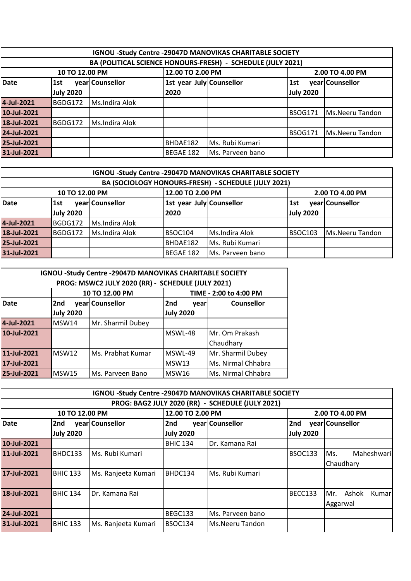|                                                             | IGNOU -Study Centre -29047D MANOVIKAS CHARITABLE SOCIETY |                 |                          |                  |                  |                 |  |  |
|-------------------------------------------------------------|----------------------------------------------------------|-----------------|--------------------------|------------------|------------------|-----------------|--|--|
| BA (POLITICAL SCIENCE HONOURS-FRESH) - SCHEDULE (JULY 2021) |                                                          |                 |                          |                  |                  |                 |  |  |
| 12.00 TO 2.00 PM<br>10 TO 12.00 PM<br>2.00 TO 4.00 PM       |                                                          |                 |                          |                  |                  |                 |  |  |
| <b>Date</b>                                                 | 1st                                                      | year Counsellor | 1st year July Counsellor |                  | <b>1st</b>       | year Counsellor |  |  |
|                                                             | <b>July 2020</b>                                         |                 | 2020                     |                  | <b>July 2020</b> |                 |  |  |
| 4-Jul-2021                                                  | BGDG172                                                  | Ms.Indira Alok  |                          |                  |                  |                 |  |  |
| 10-Jul-2021                                                 |                                                          |                 |                          |                  | <b>BSOG171</b>   | Ms.Neeru Tandon |  |  |
| 18-Jul-2021                                                 | BGDG172                                                  | Ms.Indira Alok  |                          |                  |                  |                 |  |  |
| 24-Jul-2021                                                 |                                                          |                 |                          |                  | <b>BSOG171</b>   | Ms.Neeru Tandon |  |  |
| 25-Jul-2021                                                 | Ms. Rubi Kumari<br>BHDAE182                              |                 |                          |                  |                  |                 |  |  |
| 31-Jul-2021                                                 |                                                          |                 | BEGAE 182                | Ms. Parveen bano |                  |                 |  |  |

| IGNOU -Study Centre -29047D MANOVIKAS CHARITABLE SOCIETY |                                                       |                 |                          |                  |                  |                 |
|----------------------------------------------------------|-------------------------------------------------------|-----------------|--------------------------|------------------|------------------|-----------------|
| BA (SOCIOLOGY HONOURS-FRESH) - SCHEDULE (JULY 2021)      |                                                       |                 |                          |                  |                  |                 |
|                                                          | 12.00 TO 2.00 PM<br>2.00 TO 4.00 PM<br>10 TO 12.00 PM |                 |                          |                  |                  |                 |
| Date                                                     | 1st                                                   | year Counsellor | 1st year July Counsellor |                  | 1st              | year Counsellor |
|                                                          | <b>July 2020</b>                                      |                 | 2020                     |                  | <b>July 2020</b> |                 |
| 4-Jul-2021                                               | BGDG172                                               | Ms.Indira Alok  |                          |                  |                  |                 |
| 18-Jul-2021                                              | BGDG172                                               | Ms.Indira Alok  | BSOC104                  | Ms.Indira Alok   | <b>BSOC103</b>   | Ms.Neeru Tandon |
| 25-Jul-2021                                              |                                                       |                 | BHDAE182                 | Ms. Rubi Kumari  |                  |                 |
| 31-Jul-2021                                              |                                                       |                 | BEGAE 182                | Ms. Parveen bano |                  |                 |

| IGNOU -Study Centre -29047D MANOVIKAS CHARITABLE SOCIETY |                             |                                                   |                  |                        |  |  |  |
|----------------------------------------------------------|-----------------------------|---------------------------------------------------|------------------|------------------------|--|--|--|
|                                                          |                             | PROG: MSWC2 JULY 2020 (RR) - SCHEDULE (JULY 2021) |                  |                        |  |  |  |
|                                                          |                             | 10 TO 12.00 PM                                    |                  | TIME - 2:00 to 4:00 PM |  |  |  |
| <b>Date</b>                                              | 2nd                         | year Counsellor                                   | 2nd<br>vear      | <b>Counsellor</b>      |  |  |  |
|                                                          | <b>July 2020</b>            |                                                   | <b>July 2020</b> |                        |  |  |  |
| 4-Jul-2021                                               | MSW14                       | Mr. Sharmil Dubey                                 |                  |                        |  |  |  |
| 10-Jul-2021                                              |                             |                                                   | MSWL-48          | Mr. Om Prakash         |  |  |  |
|                                                          |                             |                                                   |                  | Chaudhary              |  |  |  |
| 11-Jul-2021                                              | <b>MSW12</b>                | Ms. Prabhat Kumar                                 | MSWL-49          | Mr. Sharmil Dubey      |  |  |  |
| 17-Jul-2021                                              | Ms. Nirmal Chhabra<br>MSW13 |                                                   |                  |                        |  |  |  |
| 25-Jul-2021                                              | MSW15                       | Ms. Parveen Bano                                  | <b>MSW16</b>     | Ms. Nirmal Chhabra     |  |  |  |

|                                                  | IGNOU -Study Centre -29047D MANOVIKAS CHARITABLE SOCIETY |                     |                  |                        |                  |                        |  |  |
|--------------------------------------------------|----------------------------------------------------------|---------------------|------------------|------------------------|------------------|------------------------|--|--|
| PROG: BAG2 JULY 2020 (RR) - SCHEDULE (JULY 2021) |                                                          |                     |                  |                        |                  |                        |  |  |
| 10 TO 12.00 PM                                   |                                                          |                     | 12.00 TO 2.00 PM |                        |                  | 2.00 TO 4.00 PM        |  |  |
| <b>Date</b>                                      | 2nd                                                      | year Counsellor     | 2nd              | year Counsellor        | 2nd              | year Counsellor        |  |  |
|                                                  | <b>July 2020</b>                                         |                     | <b>July 2020</b> |                        | <b>July 2020</b> |                        |  |  |
| 10-Jul-2021                                      |                                                          |                     | <b>BHIC 134</b>  | Dr. Kamana Rai         |                  |                        |  |  |
| 11-Jul-2021                                      | BHDC133                                                  | Ms. Rubi Kumari     |                  |                        | <b>BSOC133</b>   | Maheshwari<br>Ms.      |  |  |
|                                                  |                                                          |                     |                  |                        |                  | Chaudhary              |  |  |
| 17-Jul-2021                                      | <b>BHIC 133</b>                                          | Ms. Ranjeeta Kumari | BHDC134          | Ms. Rubi Kumari        |                  |                        |  |  |
|                                                  |                                                          |                     |                  |                        |                  |                        |  |  |
| 18-Jul-2021                                      | <b>BHIC 134</b>                                          | Dr. Kamana Rai      |                  |                        | BECC133          | Ashok<br>Kumarl<br>Mr. |  |  |
|                                                  |                                                          |                     |                  |                        |                  | Aggarwal               |  |  |
| 24-Jul-2021                                      |                                                          |                     | BEGC133          | Ms. Parveen bano       |                  |                        |  |  |
| 31-Jul-2021                                      | <b>BHIC 133</b>                                          | Ms. Ranjeeta Kumari | BSOC134          | <b>Ms.Neeru Tandon</b> |                  |                        |  |  |